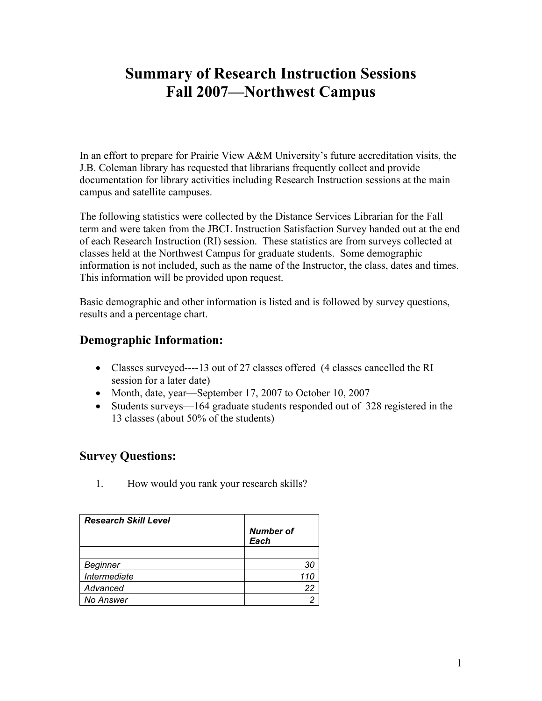# **Summary of Research Instruction Sessions Fall 2007—Northwest Campus**

In an effort to prepare for Prairie View A&M University's future accreditation visits, the J.B. Coleman library has requested that librarians frequently collect and provide documentation for library activities including Research Instruction sessions at the main campus and satellite campuses.

The following statistics were collected by the Distance Services Librarian for the Fall term and were taken from the JBCL Instruction Satisfaction Survey handed out at the end of each Research Instruction (RI) session. These statistics are from surveys collected at classes held at the Northwest Campus for graduate students. Some demographic information is not included, such as the name of the Instructor, the class, dates and times. This information will be provided upon request.

Basic demographic and other information is listed and is followed by survey questions, results and a percentage chart.

# **Demographic Information:**

- Classes surveyed----13 out of 27 classes offered (4 classes cancelled the RI session for a later date)
- Month, date, year—September 17, 2007 to October 10, 2007
- Students surveys—164 graduate students responded out of 328 registered in the 13 classes (about 50% of the students)

## **Survey Questions:**

1. How would you rank your research skills?

| <b>Research Skill Level</b> |                          |
|-----------------------------|--------------------------|
|                             | <b>Number of</b><br>Each |
|                             |                          |
| <b>Beginner</b>             | 30                       |
| Intermediate                | 110                      |
| Advanced                    | 22                       |
| No Answer                   |                          |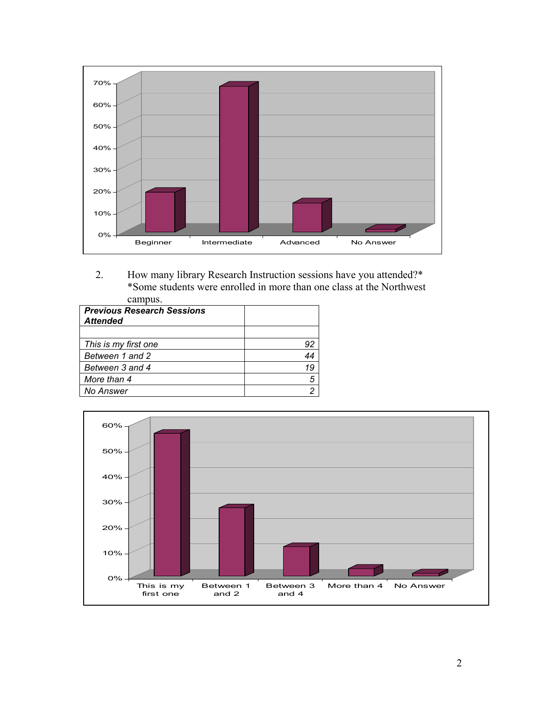

2. How many library Research Instruction sessions have you attended?\* \*Some students were enrolled in more than one class at the Northwest campus.

| <b>Previous Research Sessions</b><br><b>Attended</b> |    |
|------------------------------------------------------|----|
|                                                      |    |
| This is my first one                                 | 92 |
| Between 1 and 2                                      | 44 |
| Between 3 and 4                                      | 19 |
| More than 4                                          | 5  |
| <b>No Answer</b>                                     |    |

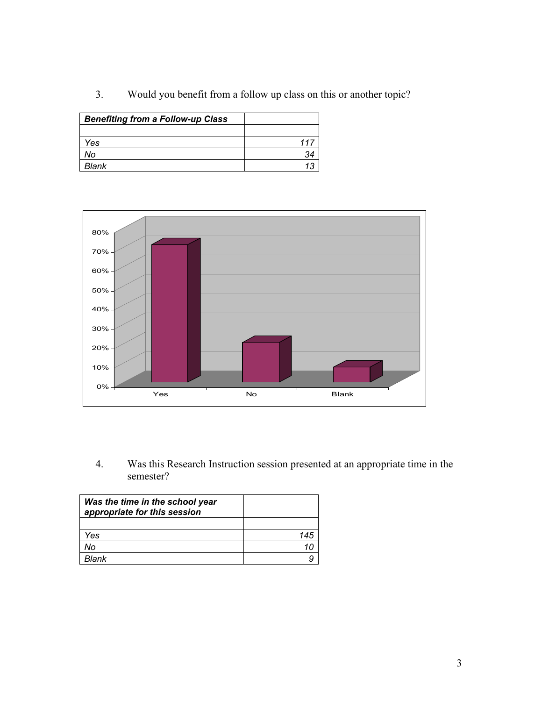3. Would you benefit from a follow up class on this or another topic?

| <b>Benefiting from a Follow-up Class</b> |  |
|------------------------------------------|--|
|                                          |  |
| ⁄es                                      |  |
| No                                       |  |
| Blank                                    |  |



4. Was this Research Instruction session presented at an appropriate time in the semester?

| Was the time in the school year<br>appropriate for this session |  |
|-----------------------------------------------------------------|--|
|                                                                 |  |
| Yes                                                             |  |
| No                                                              |  |
| <b>Rlank</b>                                                    |  |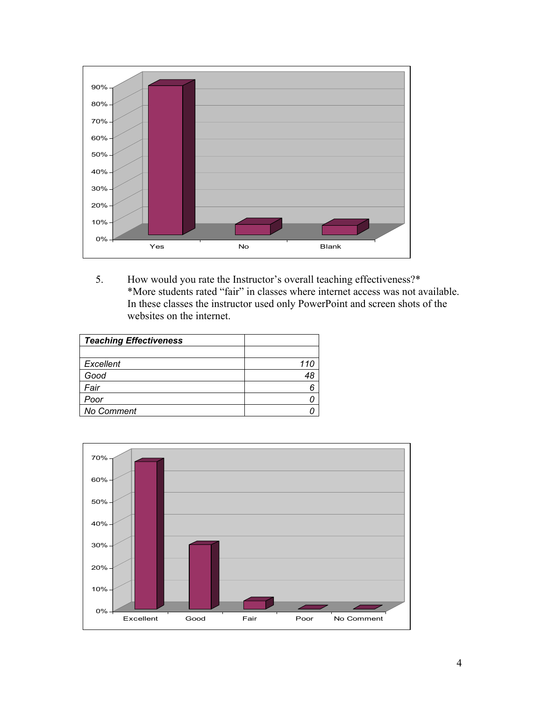

5. How would you rate the Instructor's overall teaching effectiveness?\* \*More students rated "fair" in classes where internet access was not available. In these classes the instructor used only PowerPoint and screen shots of the websites on the internet.

| <b>Teaching Effectiveness</b> |     |
|-------------------------------|-----|
|                               |     |
| Excellent                     | 110 |
| Good                          |     |
| Fair                          |     |
| Poor                          |     |
| <b>No Comment</b>             |     |

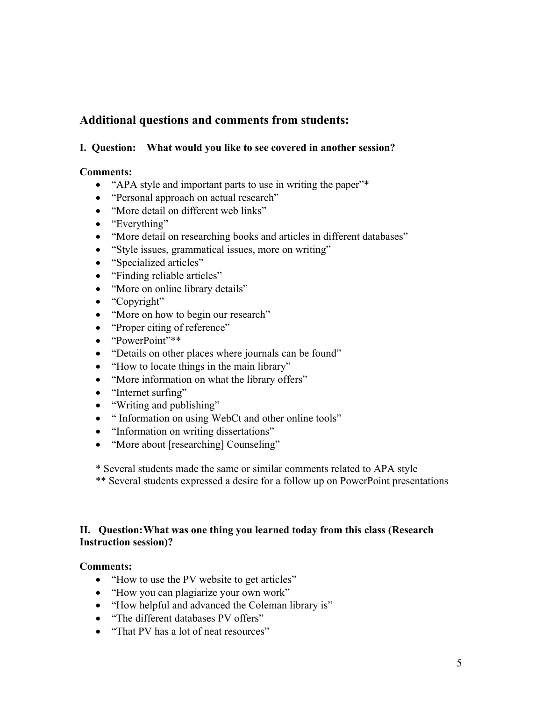## **Additional questions and comments from students:**

### **I. Question: What would you like to see covered in another session?**

#### **Comments:**

- "APA style and important parts to use in writing the paper"\*
- "Personal approach on actual research"
- "More detail on different web links"
- "Everything"
- "More detail on researching books and articles in different databases"
- ! "Style issues, grammatical issues, more on writing"
- "Specialized articles"
- "Finding reliable articles"
- "More on online library details"
- "Copyright"
- "More on how to begin our research"
- "Proper citing of reference"
- "PowerPoint"\*\*
- "Details on other places where journals can be found"
- "How to locate things in the main library"
- "More information on what the library offers"
- "Internet surfing"
- "Writing and publishing"
- " Information on using WebCt and other online tools"
- "Information on writing dissertations"
- "More about [researching] Counseling"

\* Several students made the same or similar comments related to APA style

\*\* Several students expressed a desire for a follow up on PowerPoint presentations

## **II. Question: What was one thing you learned today from this class (Research Instruction session)?**

#### **Comments:**

- "How to use the PV website to get articles"
- "How you can plagiarize your own work"
- ! "How helpful and advanced the Coleman library is"
- "The different databases PV offers"
- "That PV has a lot of neat resources"